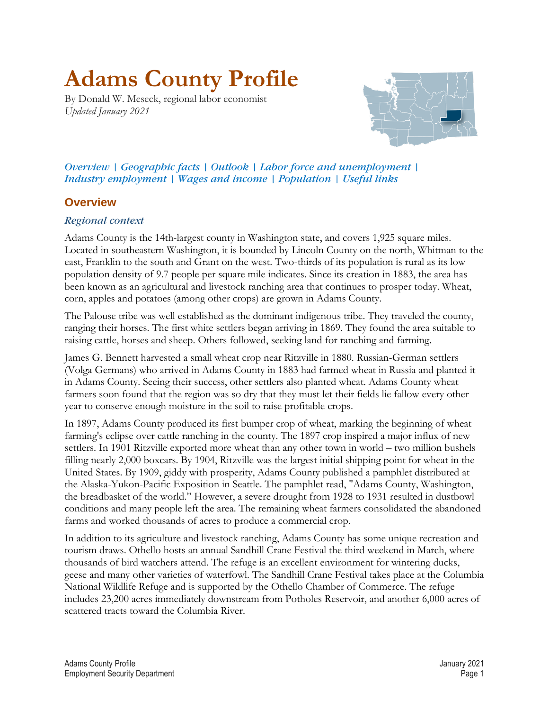# <span id="page-0-1"></span>**Adams County Profile**

<span id="page-0-0"></span>By Donald W. Meseck, regional labor economist *Updated January 2021*



*Overview | [Geographic facts](#page-1-0) | [Outlook](#page-1-1) | [Labor force and unemployment](#page-2-0) | [Industry employment](#page-2-1) | [Wages and income](#page-4-0) | [Population](#page-6-0) | [Useful links](#page-7-0)*

# **Overview**

## *Regional context*

Adams County is the 14th-largest county in Washington state, and covers 1,925 square miles. Located in southeastern Washington, it is bounded by Lincoln County on the north, Whitman to the east, Franklin to the south and Grant on the west. Two-thirds of its population is rural as its low population density of 9.7 people per square mile indicates. Since its creation in 1883, the area has been known as an agricultural and livestock ranching area that continues to prosper today. Wheat, corn, apples and potatoes (among other crops) are grown in Adams County.

The Palouse tribe was well established as the dominant indigenous tribe. They traveled the county, ranging their horses. The first white settlers began arriving in 1869. They found the area suitable to raising cattle, horses and sheep. Others followed, seeking land for ranching and farming.

James G. Bennett harvested a small wheat crop near Ritzville in 1880. Russian-German settlers (Volga Germans) who arrived in Adams County in 1883 had farmed wheat in Russia and planted it in Adams County. Seeing their success, other settlers also planted wheat. Adams County wheat farmers soon found that the region was so dry that they must let their fields lie fallow every other year to conserve enough moisture in the soil to raise profitable crops.

In 1897, Adams County produced its first bumper crop of wheat, marking the beginning of wheat farming's eclipse over cattle ranching in the county. The 1897 crop inspired a major influx of new settlers. In 1901 Ritzville exported more wheat than any other town in world – two million bushels filling nearly 2,000 boxcars. By 1904, Ritzville was the largest initial shipping point for wheat in the United States. By 1909, giddy with prosperity, Adams County published a pamphlet distributed at the Alaska-Yukon-Pacific Exposition in Seattle. The pamphlet read, "Adams County, Washington, the breadbasket of the world." However, a severe drought from 1928 to 1931 resulted in dustbowl conditions and many people left the area. The remaining wheat farmers consolidated the abandoned farms and worked thousands of acres to produce a commercial crop.

In addition to its agriculture and livestock ranching, Adams County has some unique recreation and tourism draws. Othello hosts an annual Sandhill Crane Festival the third weekend in March, where thousands of bird watchers attend. The refuge is an excellent environment for wintering ducks, geese and many other varieties of waterfowl. The Sandhill Crane Festival takes place at the Columbia National Wildlife Refuge and is supported by the Othello Chamber of Commerce. The refuge includes 23,200 acres immediately downstream from Potholes Reservoir, and another 6,000 acres of scattered tracts toward the Columbia River.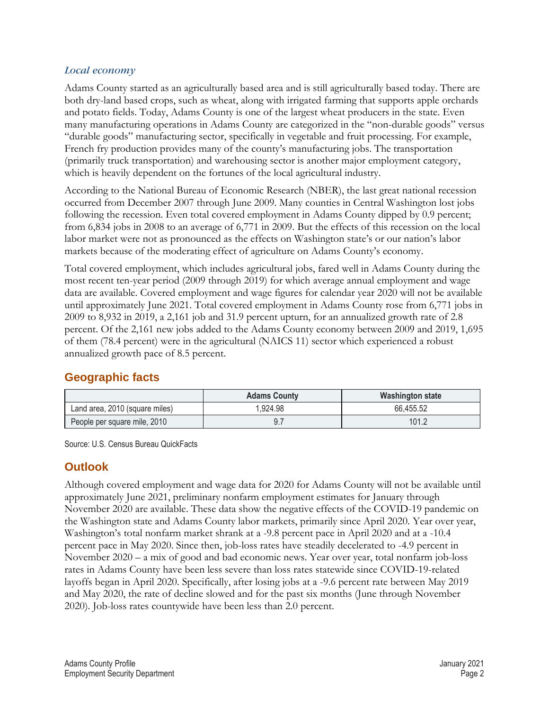#### *[Local economy](#page-0-0)*

Adams County started as an agriculturally based area and is still agriculturally based today. There are both dry-land based crops, such as wheat, along with irrigated farming that supports apple orchards and potato fields. Today, Adams County is one of the largest wheat producers in the state. Even many manufacturing operations in Adams County are categorized in the "non-durable goods" versus "durable goods" manufacturing sector, specifically in vegetable and fruit processing. For example, French fry production provides many of the county's manufacturing jobs. The transportation (primarily truck transportation) and warehousing sector is another major employment category, which is heavily dependent on the fortunes of the local agricultural industry.

According to the National Bureau of Economic Research (NBER), the last great national recession occurred from December 2007 through June 2009. Many counties in Central Washington lost jobs following the recession. Even total covered employment in Adams County dipped by 0.9 percent; from 6,834 jobs in 2008 to an average of 6,771 in 2009. But the effects of this recession on the local labor market were not as pronounced as the effects on Washington state's or our nation's labor markets because of the moderating effect of agriculture on Adams County's economy.

Total covered employment, which includes agricultural jobs, fared well in Adams County during the most recent ten-year period (2009 through 2019) for which average annual employment and wage data are available. Covered employment and wage figures for calendar year 2020 will not be available until approximately June 2021. Total covered employment in Adams County rose from 6,771 jobs in 2009 to 8,932 in 2019, a 2,161 job and 31.9 percent upturn, for an annualized growth rate of 2.8 percent. Of the 2,161 new jobs added to the Adams County economy between 2009 and 2019, 1,695 of them (78.4 percent) were in the agricultural (NAICS 11) sector which experienced a robust annualized growth pace of 8.5 percent.

# <span id="page-1-0"></span>**[Geographic facts](#page-0-1)**

|                                | <b>Adams County</b> | Washington state |
|--------------------------------|---------------------|------------------|
| Land area, 2010 (square miles) | .924.98             | 66,455.52        |
| People per square mile, 2010   |                     | 101.2            |

Source: U.S. Census Bureau QuickFacts

# <span id="page-1-1"></span>**[Outlook](#page-0-1)**

Although covered employment and wage data for 2020 for Adams County will not be available until approximately June 2021, preliminary nonfarm employment estimates for January through November 2020 are available. These data show the negative effects of the COVID-19 pandemic on the Washington state and Adams County labor markets, primarily since April 2020. Year over year, Washington's total nonfarm market shrank at a -9.8 percent pace in April 2020 and at a -10.4 percent pace in May 2020. Since then, job-loss rates have steadily decelerated to -4.9 percent in November 2020 – a mix of good and bad economic news. Year over year, total nonfarm job-loss rates in Adams County have been less severe than loss rates statewide since COVID-19-related layoffs began in April 2020. Specifically, after losing jobs at a -9.6 percent rate between May 2019 and May 2020, the rate of decline slowed and for the past six months (June through November 2020). Job-loss rates countywide have been less than 2.0 percent.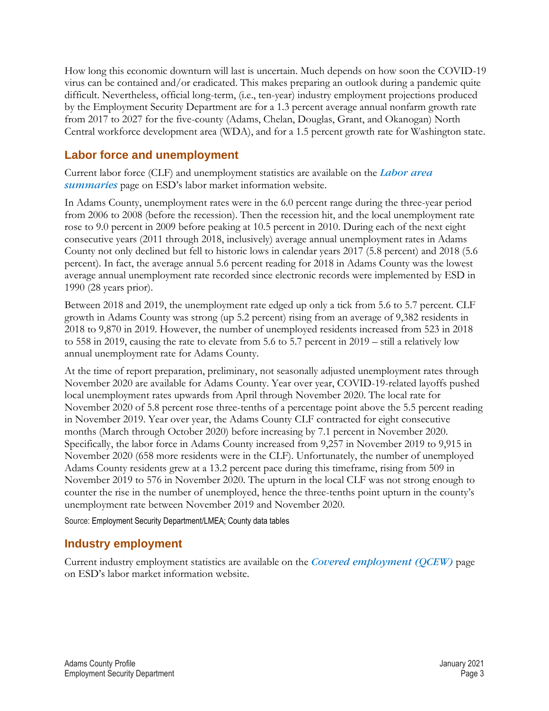How long this economic downturn will last is uncertain. Much depends on how soon the COVID-19 virus can be contained and/or eradicated. This makes preparing an outlook during a pandemic quite difficult. Nevertheless, official long-term, (i.e., ten-year) industry employment projections produced by the Employment Security Department are for a 1.3 percent average annual nonfarm growth rate from 2017 to 2027 for the five-county (Adams, Chelan, Douglas, Grant, and Okanogan) North Central workforce development area (WDA), and for a 1.5 percent growth rate for Washington state.

# <span id="page-2-0"></span>**[Labor force and unemployment](#page-0-1)**

Current labor force (CLF) and unemployment statistics are available on the *Labor area summaries* page on ESD's labor market information website.

In Adams County, unemployment rates were in the 6.0 percent range during the three-year period from 2006 to 2008 (before the recession). Then the recession hit, and the local unemployment rate rose to 9.0 percent in 2009 before peaking at 10.5 percent in 2010. During each of the next eight consecutive years (2011 through 2018, inclusively) average annual unemployment rates in Adams County not only declined but fell to historic lows in calendar years 2017 (5.8 percent) and 2018 (5.6 percent). In fact, the average annual 5.6 percent reading for 2018 in Adams County was the lowest average annual unemployment rate recorded since electronic records were implemented by ESD in 1990 (28 years prior).

Between 2018 and 2019, the unemployment rate edged up only a tick from 5.6 to 5.7 percent. CLF growth in Adams County was strong (up 5.2 percent) rising from an average of 9,382 residents in 2018 to 9,870 in 2019. However, the number of unemployed residents increased from 523 in 2018 to 558 in 2019, causing the rate to elevate from 5.6 to 5.7 percent in 2019 – still a relatively low annual unemployment rate for Adams County.

At the time of report preparation, preliminary, not seasonally adjusted unemployment rates through November 2020 are available for Adams County. Year over year, COVID-19-related layoffs pushed local unemployment rates upwards from April through November 2020. The local rate for November 2020 of 5.8 percent rose three-tenths of a percentage point above the 5.5 percent reading in November 2019. Year over year, the Adams County CLF contracted for eight consecutive months (March through October 2020) before increasing by 7.1 percent in November 2020. Specifically, the labor force in Adams County increased from 9,257 in November 2019 to 9,915 in November 2020 (658 more residents were in the CLF). Unfortunately, the number of unemployed Adams County residents grew at a 13.2 percent pace during this timeframe, rising from 509 in November 2019 to 576 in November 2020. The upturn in the local CLF was not strong enough to counter the rise in the number of unemployed, hence the three-tenths point upturn in the county's unemployment rate between November 2019 and November 2020.

Source: Employment Security Department/LMEA; County data tables

# <span id="page-2-1"></span>**[Industry employment](#page-0-1)**

Current industry employment statistics are available on the *[Covered employment \(QCEW\)](https://esd.wa.gov/labormarketinfo/covered-employment)* page on ESD's labor market information website.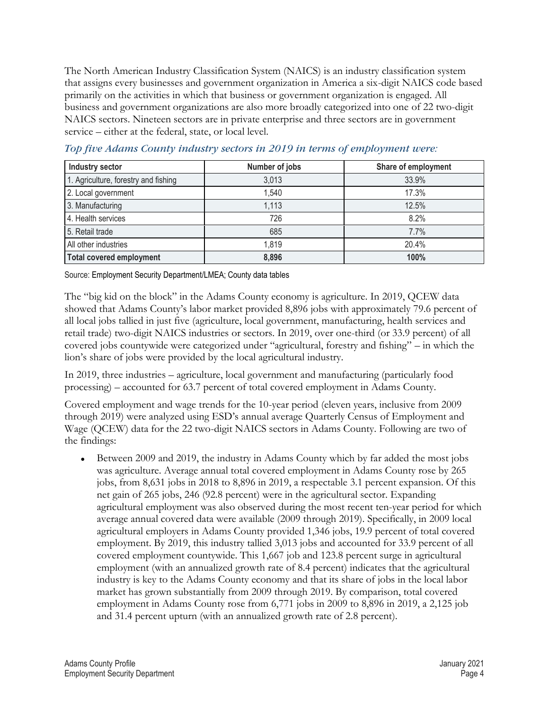The North American Industry Classification System (NAICS) is an industry classification system that assigns every businesses and government organization in America a six-digit NAICS code based primarily on the activities in which that business or government organization is engaged. All business and government organizations are also more broadly categorized into one of 22 two-digit NAICS sectors. Nineteen sectors are in private enterprise and three sectors are in government service – either at the federal, state, or local level.

| <b>Industry sector</b>               | Number of jobs | Share of employment |
|--------------------------------------|----------------|---------------------|
| 1. Agriculture, forestry and fishing | 3,013          | 33.9%               |
| 2. Local government                  | 1,540          | 17.3%               |
| 3. Manufacturing                     | 1,113          | 12.5%               |
| 4. Health services                   | 726            | 8.2%                |
| 5. Retail trade                      | 685            | $7.7\%$             |
| All other industries                 | 1,819          | 20.4%               |
| <b>Total covered employment</b>      | 8,896          | 100%                |

*Top five Adams County industry sectors in 2019 in terms of employment were:* 

Source: Employment Security Department/LMEA; County data tables

The "big kid on the block" in the Adams County economy is agriculture. In 2019, QCEW data showed that Adams County's labor market provided 8,896 jobs with approximately 79.6 percent of all local jobs tallied in just five (agriculture, local government, manufacturing, health services and retail trade) two-digit NAICS industries or sectors. In 2019, over one-third (or 33.9 percent) of all covered jobs countywide were categorized under "agricultural, forestry and fishing" – in which the lion's share of jobs were provided by the local agricultural industry.

In 2019, three industries – agriculture, local government and manufacturing (particularly food processing) – accounted for 63.7 percent of total covered employment in Adams County.

Covered employment and wage trends for the 10-year period (eleven years, inclusive from 2009 through 2019) were analyzed using ESD's annual average Quarterly Census of Employment and Wage (QCEW) data for the 22 two-digit NAICS sectors in Adams County. Following are two of the findings:

⚫ Between 2009 and 2019, the industry in Adams County which by far added the most jobs was agriculture. Average annual total covered employment in Adams County rose by 265 jobs, from 8,631 jobs in 2018 to 8,896 in 2019, a respectable 3.1 percent expansion. Of this net gain of 265 jobs, 246 (92.8 percent) were in the agricultural sector. Expanding agricultural employment was also observed during the most recent ten-year period for which average annual covered data were available (2009 through 2019). Specifically, in 2009 local agricultural employers in Adams County provided 1,346 jobs, 19.9 percent of total covered employment. By 2019, this industry tallied 3,013 jobs and accounted for 33.9 percent of all covered employment countywide. This 1,667 job and 123.8 percent surge in agricultural employment (with an annualized growth rate of 8.4 percent) indicates that the agricultural industry is key to the Adams County economy and that its share of jobs in the local labor market has grown substantially from 2009 through 2019. By comparison, total covered employment in Adams County rose from 6,771 jobs in 2009 to 8,896 in 2019, a 2,125 job and 31.4 percent upturn (with an annualized growth rate of 2.8 percent).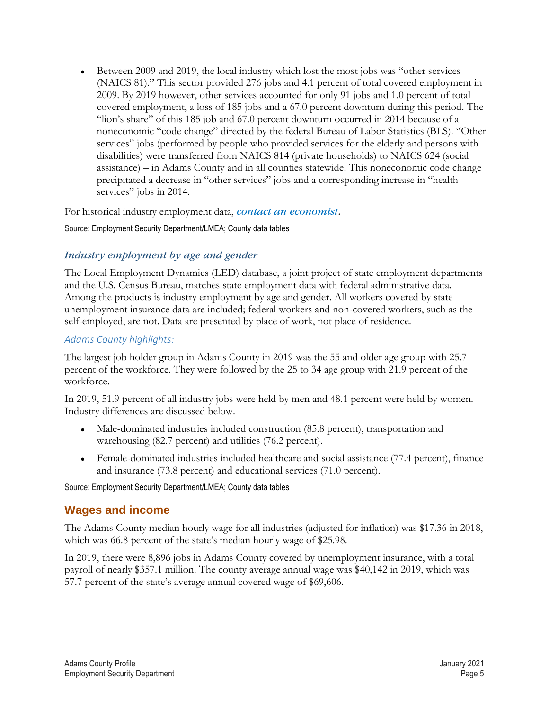⚫ Between 2009 and 2019, the local industry which lost the most jobs was "other services (NAICS 81)." This sector provided 276 jobs and 4.1 percent of total covered employment in 2009. By 2019 however, other services accounted for only 91 jobs and 1.0 percent of total covered employment, a loss of 185 jobs and a 67.0 percent downturn during this period. The "lion's share" of this 185 job and 67.0 percent downturn occurred in 2014 because of a noneconomic "code change" directed by the federal Bureau of Labor Statistics (BLS). "Other services" jobs (performed by people who provided services for the elderly and persons with disabilities) were transferred from NAICS 814 (private households) to NAICS 624 (social assistance) – in Adams County and in all counties statewide. This noneconomic code change precipitated a decrease in "other services" jobs and a corresponding increase in "health services" jobs in 2014.

For historical industry employment data, *[contact an economist](mailto:Don.meseck@esd.wa.gov)*.

Source: Employment Security Department/LMEA; County data tables

## *[Industry employment by age and gender](#page-0-0)*

The Local Employment Dynamics (LED) database, a joint project of state employment departments and the U.S. Census Bureau, matches state employment data with federal administrative data. Among the products is industry employment by age and gender. All workers covered by state unemployment insurance data are included; federal workers and non-covered workers, such as the self-employed, are not. Data are presented by place of work, not place of residence.

#### *Adams County highlights:*

The largest job holder group in Adams County in 2019 was the 55 and older age group with 25.7 percent of the workforce. They were followed by the 25 to 34 age group with 21.9 percent of the workforce.

In 2019, 51.9 percent of all industry jobs were held by men and 48.1 percent were held by women. Industry differences are discussed below.

- ⚫ Male-dominated industries included construction (85.8 percent), transportation and warehousing (82.7 percent) and utilities (76.2 percent).
- ⚫ Female-dominated industries included healthcare and social assistance (77.4 percent), finance and insurance (73.8 percent) and educational services (71.0 percent).

Source: Employment Security Department/LMEA; County data tables

# <span id="page-4-0"></span>**[Wages and income](#page-0-1)**

The Adams County median hourly wage for all industries (adjusted for inflation) was \$17.36 in 2018, which was 66.8 percent of the state's median hourly wage of \$25.98.

In 2019, there were 8,896 jobs in Adams County covered by unemployment insurance, with a total payroll of nearly \$357.1 million. The county average annual wage was \$40,142 in 2019, which was 57.7 percent of the state's average annual covered wage of \$69,606.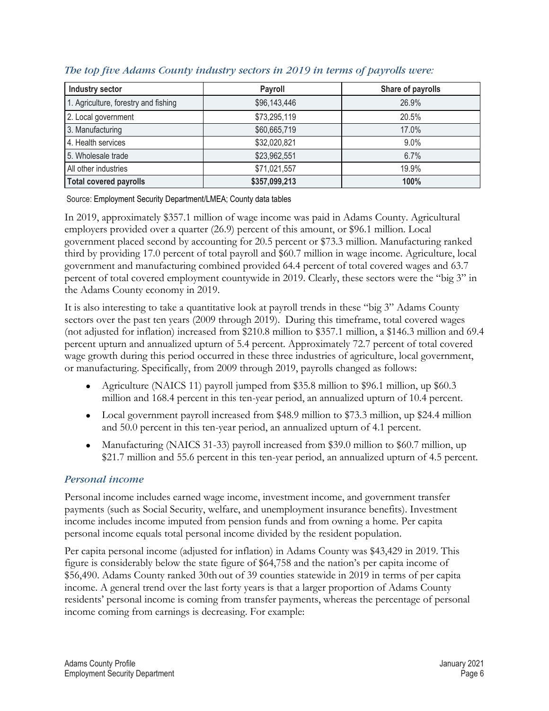| <b>Industry sector</b>               | Payroll       | Share of payrolls |
|--------------------------------------|---------------|-------------------|
| 1. Agriculture, forestry and fishing | \$96,143,446  | 26.9%             |
| 2. Local government                  | \$73,295,119  | 20.5%             |
| 3. Manufacturing                     | \$60,665,719  | 17.0%             |
| 4. Health services                   | \$32,020,821  | $9.0\%$           |
| 5. Wholesale trade                   | \$23,962,551  | 6.7%              |
| All other industries                 | \$71,021,557  | 19.9%             |
| <b>Total covered payrolls</b>        | \$357,099,213 | 100%              |

#### *The top five Adams County industry sectors in 2019 in terms of payrolls were:*

Source: Employment Security Department/LMEA; County data tables

In 2019, approximately \$357.1 million of wage income was paid in Adams County. Agricultural employers provided over a quarter (26.9) percent of this amount, or \$96.1 million. Local government placed second by accounting for 20.5 percent or \$73.3 million. Manufacturing ranked third by providing 17.0 percent of total payroll and \$60.7 million in wage income. Agriculture, local government and manufacturing combined provided 64.4 percent of total covered wages and 63.7 percent of total covered employment countywide in 2019. Clearly, these sectors were the "big 3" in the Adams County economy in 2019.

It is also interesting to take a quantitative look at payroll trends in these "big 3" Adams County sectors over the past ten years (2009 through 2019). During this timeframe, total covered wages (not adjusted for inflation) increased from \$210.8 million to \$357.1 million, a \$146.3 million and 69.4 percent upturn and annualized upturn of 5.4 percent. Approximately 72.7 percent of total covered wage growth during this period occurred in these three industries of agriculture, local government, or manufacturing. Specifically, from 2009 through 2019, payrolls changed as follows:

- Agriculture (NAICS 11) payroll jumped from \$35.8 million to \$96.1 million, up \$60.3 million and 168.4 percent in this ten-year period, an annualized upturn of 10.4 percent.
- Local government payroll increased from \$48.9 million to \$73.3 million, up \$24.4 million and 50.0 percent in this ten-year period, an annualized upturn of 4.1 percent.
- Manufacturing (NAICS 31-33) payroll increased from \$39.0 million to \$60.7 million, up \$21.7 million and 55.6 percent in this ten-year period, an annualized upturn of 4.5 percent.

#### *[Personal income](#page-0-0)*

Personal income includes earned wage income, investment income, and government transfer payments (such as Social Security, welfare, and unemployment insurance benefits). Investment income includes income imputed from pension funds and from owning a home. Per capita personal income equals total personal income divided by the resident population.

Per capita personal income (adjusted for inflation) in Adams County was \$43,429 in 2019. This figure is considerably below the state figure of \$64,758 and the nation's per capita income of \$56,490. Adams County ranked 30th out of 39 counties statewide in 2019 in terms of per capita income. A general trend over the last forty years is that a larger proportion of Adams County residents' personal income is coming from transfer payments, whereas the percentage of personal income coming from earnings is decreasing. For example: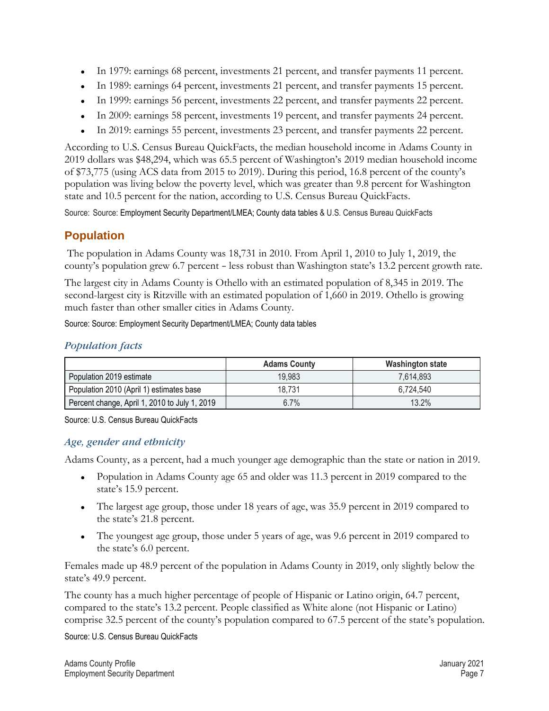- ⚫ In 1979: earnings 68 percent, investments 21 percent, and transfer payments 11 percent.
- ⚫ In 1989: earnings 64 percent, investments 21 percent, and transfer payments 15 percent.
- ⚫ In 1999: earnings 56 percent, investments 22 percent, and transfer payments 22 percent.
- ⚫ In 2009: earnings 58 percent, investments 19 percent, and transfer payments 24 percent.
- ⚫ In 2019: earnings 55 percent, investments 23 percent, and transfer payments 22 percent.

According to U.S. Census Bureau QuickFacts, the median household income in Adams County in 2019 dollars was \$48,294, which was 65.5 percent of Washington's 2019 median household income of \$73,775 (using ACS data from 2015 to 2019). During this period, 16.8 percent of the county's population was living below the poverty level, which was greater than 9.8 percent for Washington state and 10.5 percent for the nation, according to U.S. Census Bureau QuickFacts.

Source: Source: Employment Security Department/LMEA; County data tables & U.S. Census Bureau QuickFacts

# <span id="page-6-0"></span>**[Population](#page-0-1)**

The population in Adams County was 18,731 in 2010. From April 1, 2010 to July 1, 2019, the county's population grew 6.7 percent – less robust than Washington state's 13.2 percent growth rate.

The largest city in Adams County is Othello with an estimated population of 8,345 in 2019. The second-largest city is Ritzville with an estimated population of 1,660 in 2019. Othello is growing much faster than other smaller cities in Adams County.

Source: Source: Employment Security Department/LMEA; County data tables

## *[Population facts](#page-0-0)*

|                                               | <b>Adams County</b> | <b>Washington state</b> |
|-----------------------------------------------|---------------------|-------------------------|
| Population 2019 estimate                      | 19,983              | 7.614.893               |
| Population 2010 (April 1) estimates base      | 18.731              | 6.724.540               |
| Percent change, April 1, 2010 to July 1, 2019 | 6.7%                | 13.2%                   |

Source: U.S. Census Bureau QuickFacts

#### *[Age, gender and ethnicity](#page-0-0)*

Adams County, as a percent, had a much younger age demographic than the state or nation in 2019.

- Population in Adams County age 65 and older was 11.3 percent in 2019 compared to the state's 15.9 percent.
- The largest age group, those under 18 years of age, was 35.9 percent in 2019 compared to the state's 21.8 percent.
- ⚫ The youngest age group, those under 5 years of age, was 9.6 percent in 2019 compared to the state's 6.0 percent.

Females made up 48.9 percent of the population in Adams County in 2019, only slightly below the state's 49.9 percent.

The county has a much higher percentage of people of Hispanic or Latino origin, 64.7 percent, compared to the state's 13.2 percent. People classified as White alone (not Hispanic or Latino) comprise 32.5 percent of the county's population compared to 67.5 percent of the state's population.

Source: U.S. Census Bureau QuickFacts